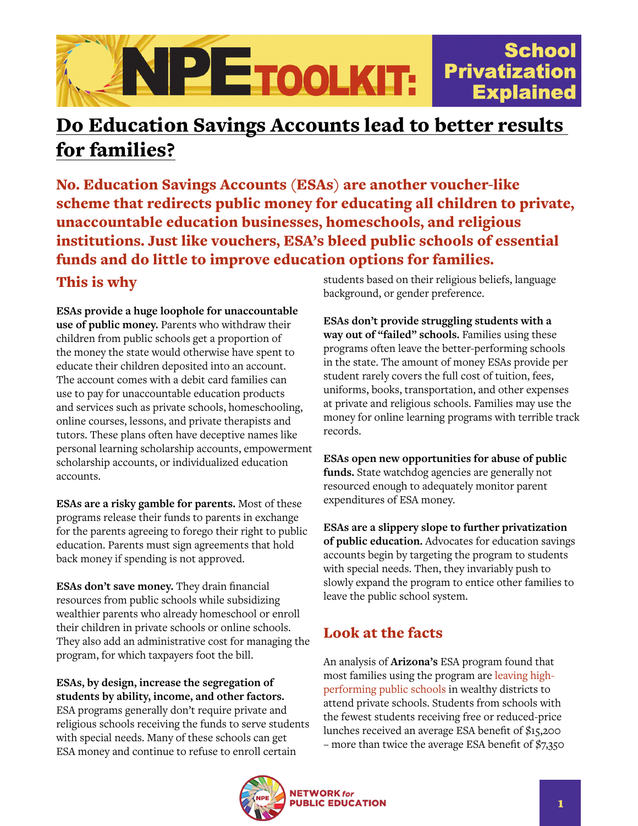

## Do Education Savings Accounts lead to better results for families?

No. Education Savings Accounts (ESAs) are another voucher-like scheme that redirects public money for educating all children to private, unaccountable education businesses, homeschools, and religious institutions. Just like vouchers, ESA's bleed public schools of essential funds and do little to improve education options for families.

## This is why

**ESAs provide a huge loophole for unaccountable use of public money.** Parents who withdraw their children from public schools get a proportion of the money the state would otherwise have spent to educate their children deposited into an account. The account comes with a debit card families can use to pay for unaccountable education products and services such as private schools, homeschooling, online courses, lessons, and private therapists and tutors. These plans often have deceptive names like personal learning scholarship accounts, empowerment scholarship accounts, or individualized education accounts.

**ESAs are a risky gamble for parents.** Most of these programs release their funds to parents in exchange for the parents agreeing to forego their right to public education. Parents must sign agreements that hold back money if spending is not approved.

**ESAs don't save money.** They drain financial resources from public schools while subsidizing wealthier parents who already homeschool or enroll their children in private schools or online schools. They also add an administrative cost for managing the program, for which taxpayers foot the bill.

**ESAs, by design, increase the segregation of students by ability, income, and other factors.** ESA programs generally don't require private and religious schools receiving the funds to serve students with special needs. Many of these schools can get ESA money and continue to refuse to enroll certain

students based on their religious beliefs, language background, or gender preference.

**ESAs don't provide struggling students with a way out of "failed" schools.** Families using these programs often leave the better-performing schools in the state. The amount of money ESAs provide per student rarely covers the full cost of tuition, fees, uniforms, books, transportation, and other expenses at private and religious schools. Families may use the money for online learning programs with terrible track records.

**ESAs open new opportunities for abuse of public funds.** State watchdog agencies are generally not resourced enough to adequately monitor parent expenditures of ESA money.

**ESAs are a slippery slope to further privatization of public education.** Advocates for education savings accounts begin by targeting the program to students with special needs. Then, they invariably push to slowly expand the program to entice other families to leave the public school system.

## Look at the facts

An analysis of **Arizona's** ESA program found that most families using the program are [leaving high](https://www.azcentral.com/story/news/arizona/politics/education/2016/02/23/state-money-helping-wealthier-arizona-kids-go-private-schools/80303730/)[performing public schools](https://www.azcentral.com/story/news/arizona/politics/education/2016/02/23/state-money-helping-wealthier-arizona-kids-go-private-schools/80303730/) in wealthy districts to attend private schools. Students from schools with the fewest students receiving free or reduced-price lunches received an average ESA benefit of \$15,200 – more than twice the average ESA benefit of \$7,350